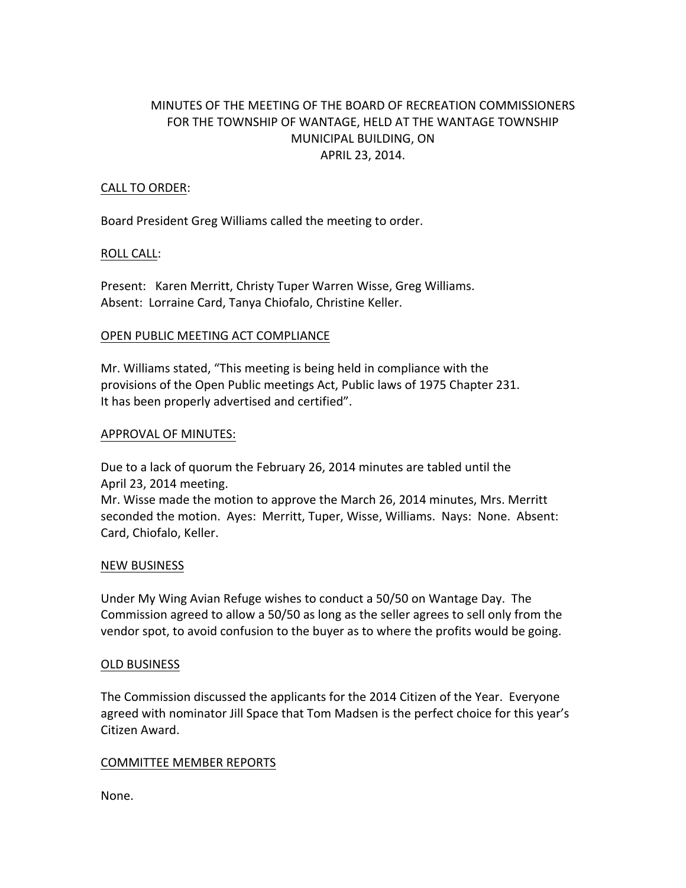# MINUTES OF THE MEETING OF THE BOARD OF RECREATION COMMISSIONERS FOR THE TOWNSHIP OF WANTAGE, HELD AT THE WANTAGE TOWNSHIP MUNICIPAL BUILDING, ON APRIL 23, 2014.

# CALL TO ORDER:

Board President Greg Williams called the meeting to order.

## ROLL CALL:

Present: Karen Merritt, Christy Tuper Warren Wisse, Greg Williams. Absent: Lorraine Card, Tanya Chiofalo, Christine Keller.

## OPEN PUBLIC MEETING ACT COMPLIANCE

Mr. Williams stated, "This meeting is being held in compliance with the provisions of the Open Public meetings Act, Public laws of 1975 Chapter 231. It has been properly advertised and certified".

## APPROVAL OF MINUTES:

Due to a lack of quorum the February 26, 2014 minutes are tabled until the April 23, 2014 meeting.

Mr. Wisse made the motion to approve the March 26, 2014 minutes, Mrs. Merritt seconded the motion. Ayes: Merritt, Tuper, Wisse, Williams. Nays: None. Absent: Card, Chiofalo, Keller.

## NEW BUSINESS

Under My Wing Avian Refuge wishes to conduct a 50/50 on Wantage Day. The Commission agreed to allow a 50/50 as long as the seller agrees to sell only from the vendor spot, to avoid confusion to the buyer as to where the profits would be going.

## OLD BUSINESS

The Commission discussed the applicants for the 2014 Citizen of the Year. Everyone agreed with nominator Jill Space that Tom Madsen is the perfect choice for this year's Citizen Award.

## COMMITTEE MEMBER REPORTS

None.